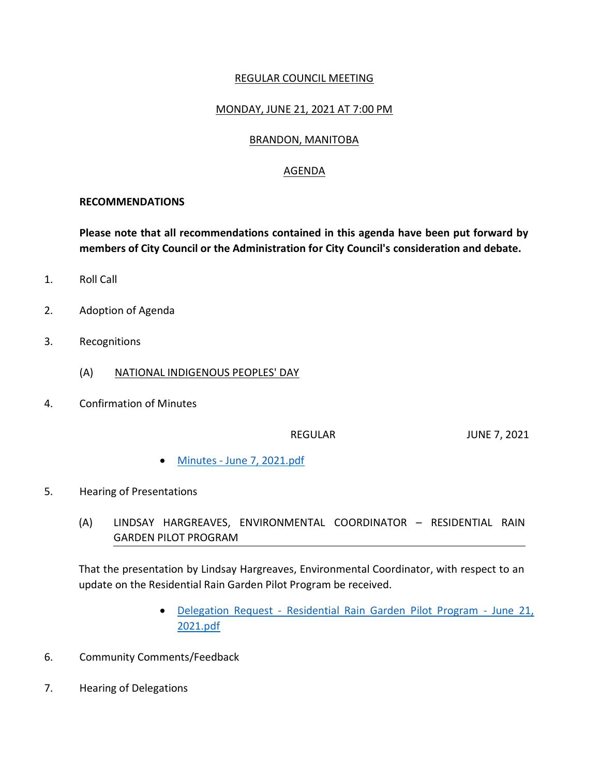### REGULAR COUNCIL MEETING

## MONDAY, JUNE 21, 2021 AT 7:00 PM

### BRANDON, MANITOBA

### AGENDA

#### **RECOMMENDATIONS**

**Please note that all recommendations contained in this agenda have been put forward by members of City Council or the Administration for City Council's consideration and debate.**

- 1. Roll Call
- 2. Adoption of Agenda
- 3. Recognitions
	- (A) NATIONAL INDIGENOUS PEOPLES' DAY
- 4. Confirmation of Minutes

REGULAR JUNE 7, 2021

- Minutes [June 7, 2021.pdf](https://paperlesscouncil.brandon.ca/attachments/A_2021/COM_ZJVQDVQATRTJHIFRWYGJUSLBXMXHAWYBWLKJGMNYQPVDPWMDCXI_Minutes%20-%20June%207,%202021.pdf)
- 5. Hearing of Presentations
	- (A) LINDSAY HARGREAVES, ENVIRONMENTAL COORDINATOR RESIDENTIAL RAIN GARDEN PILOT PROGRAM

That the presentation by Lindsay Hargreaves, Environmental Coordinator, with respect to an update on the Residential Rain Garden Pilot Program be received.

- Delegation Request [Residential Rain Garden Pilot Program -](https://paperlesscouncil.brandon.ca/attachments/A_2021/HOP_BWWZMSLIRQKELLXMMJQZWVWEOULHIQFXVBSAPMDNTUDXPLXIRLU_Delegation%20Request%20-%20Residential%20Rain%20Garden%20Pilot%20Program%20-%20June%2021,%202021.pdf) June 21, [2021.pdf](https://paperlesscouncil.brandon.ca/attachments/A_2021/HOP_BWWZMSLIRQKELLXMMJQZWVWEOULHIQFXVBSAPMDNTUDXPLXIRLU_Delegation%20Request%20-%20Residential%20Rain%20Garden%20Pilot%20Program%20-%20June%2021,%202021.pdf)
- 6. Community Comments/Feedback
- 7. Hearing of Delegations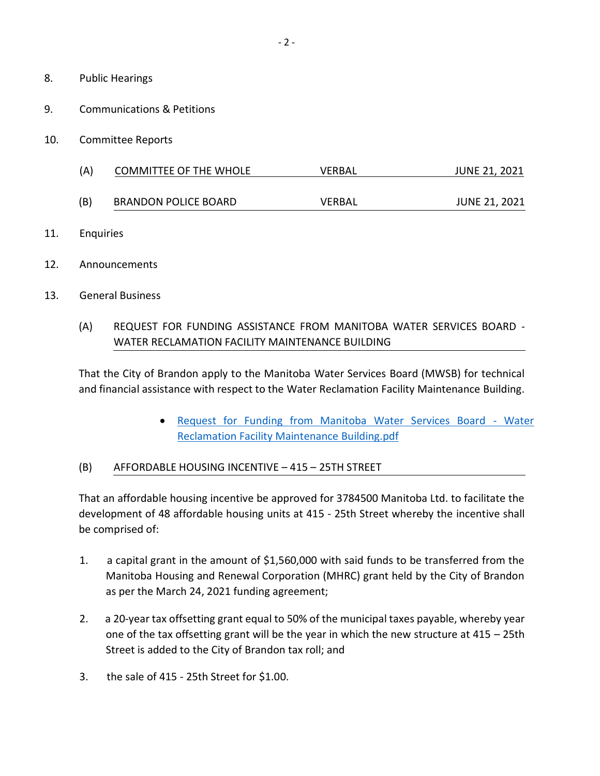- 8. Public Hearings
- 9. Communications & Petitions
- 10. Committee Reports
	- (A) COMMITTEE OF THE WHOLE VERBAL JUNE 21, 2021

(B) BRANDON POLICE BOARD VERBAL JUNE 21, 2021

- 11. Enquiries
- 12. Announcements
- 13. General Business

## (A) REQUEST FOR FUNDING ASSISTANCE FROM MANITOBA WATER SERVICES BOARD - WATER RECLAMATION FACILITY MAINTENANCE BUILDING

That the City of Brandon apply to the Manitoba Water Services Board (MWSB) for technical and financial assistance with respect to the Water Reclamation Facility Maintenance Building.

> [Request for Funding from Manitoba Water Services Board -](https://paperlesscouncil.brandon.ca/attachments/A_2021/GEN_ZAPDLWPRLFMQQDPOJUOBOSNAOXIDOWVOKBUUQTGDGTRKDUVSSJH_Request%20for%20Funding%20from%20Manitoba%20Water%20Services%20Board%20-%20Water%20Reclamation%20Facility%20Maintenance%20Building.pdf) Water [Reclamation Facility Maintenance Building.pdf](https://paperlesscouncil.brandon.ca/attachments/A_2021/GEN_ZAPDLWPRLFMQQDPOJUOBOSNAOXIDOWVOKBUUQTGDGTRKDUVSSJH_Request%20for%20Funding%20from%20Manitoba%20Water%20Services%20Board%20-%20Water%20Reclamation%20Facility%20Maintenance%20Building.pdf)

#### (B) AFFORDABLE HOUSING INCENTIVE – 415 – 25TH STREET

That an affordable housing incentive be approved for 3784500 Manitoba Ltd. to facilitate the development of 48 affordable housing units at 415 - 25th Street whereby the incentive shall be comprised of:

- 1. a capital grant in the amount of \$1,560,000 with said funds to be transferred from the Manitoba Housing and Renewal Corporation (MHRC) grant held by the City of Brandon as per the March 24, 2021 funding agreement;
- 2. a 20-year tax offsetting grant equal to 50% of the municipal taxes payable, whereby year one of the tax offsetting grant will be the year in which the new structure at 415 – 25th Street is added to the City of Brandon tax roll; and
- 3. the sale of 415 25th Street for \$1.00.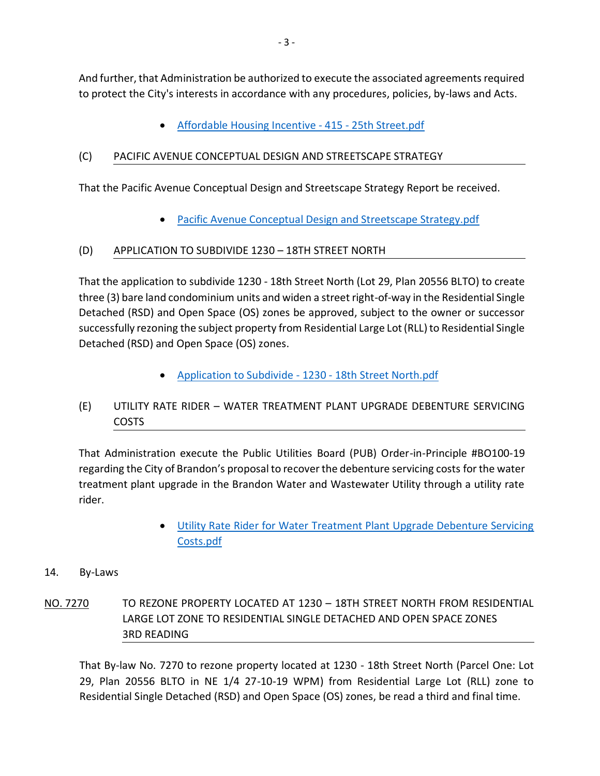And further, that Administration be authorized to execute the associated agreements required to protect the City's interests in accordance with any procedures, policies, by-laws and Acts.

• [Affordable Housing Incentive -](https://paperlesscouncil.brandon.ca/attachments/A_2021/GEN_UIWLXNHQLPUOTIHLVUSCKZGRZLSDXDGJFCGKCNOMBEVUMJROFLG_Affordable%20Housing%20Incentive%20-%20415%20-%2025th%20Street.pdf) 415 - 25th Street.pdf

# (C) PACIFIC AVENUE CONCEPTUAL DESIGN AND STREETSCAPE STRATEGY

That the Pacific Avenue Conceptual Design and Streetscape Strategy Report be received.

• [Pacific Avenue Conceptual Design and Streetscape Strategy.pdf](https://paperlesscouncil.brandon.ca/attachments/A_2021/GEN_KBYFQSFKXLOYJSHRJUECDVDTQOOJHYANJNNPMPPRGZQEMCVQTED_Pacific%20Avenue%20Conceptual%20Design%20and%20Streetscape%20Strategy.pdf)

# (D) APPLICATION TO SUBDIVIDE 1230 – 18TH STREET NORTH

That the application to subdivide 1230 - 18th Street North (Lot 29, Plan 20556 BLTO) to create three (3) bare land condominium units and widen a street right-of-way in the Residential Single Detached (RSD) and Open Space (OS) zones be approved, subject to the owner or successor successfully rezoning the subject property from Residential Large Lot (RLL) to Residential Single Detached (RSD) and Open Space (OS) zones.

[Application to Subdivide -](https://paperlesscouncil.brandon.ca/attachments/A_2021/GEN_GTQUQCRXEQEHEFAFZUAQDGYFGGAAYEGPKMLCMHUNFOCCIQWMSNQ_Application%20to%20Subdivide%20-%201230%20-%2018th%20Street%20North.pdf) 1230 - 18th Street North.pdf

# (E) UTILITY RATE RIDER – WATER TREATMENT PLANT UPGRADE DEBENTURE SERVICING COSTS

That Administration execute the Public Utilities Board (PUB) Order-in-Principle #BO100-19 regarding the City of Brandon's proposal to recover the debenture servicing costs for the water treatment plant upgrade in the Brandon Water and Wastewater Utility through a utility rate rider.

> Utility Rate Rider for Water [Treatment Plant Upgrade Debenture Servicing](https://paperlesscouncil.brandon.ca/attachments/A_2021/GEN_LWPQCXPWCTILZFEKEBMNUGENIILBUJFSUDATZVIWXBSFUGDTDYL_Utility%20Rate%20Rider%20for%20Water%20Treatment%20Plant%20Upgrade%20Debenture%20Servicing%20Costs.pdf)  [Costs.pdf](https://paperlesscouncil.brandon.ca/attachments/A_2021/GEN_LWPQCXPWCTILZFEKEBMNUGENIILBUJFSUDATZVIWXBSFUGDTDYL_Utility%20Rate%20Rider%20for%20Water%20Treatment%20Plant%20Upgrade%20Debenture%20Servicing%20Costs.pdf)

# 14. By-Laws

NO. 7270 TO REZONE PROPERTY LOCATED AT 1230 - 18TH STREET NORTH FROM RESIDENTIAL LARGE LOT ZONE TO RESIDENTIAL SINGLE DETACHED AND OPEN SPACE ZONES 3RD READING

That By-law No. 7270 to rezone property located at 1230 - 18th Street North (Parcel One: Lot 29, Plan 20556 BLTO in NE 1/4 27-10-19 WPM) from Residential Large Lot (RLL) zone to Residential Single Detached (RSD) and Open Space (OS) zones, be read a third and final time.